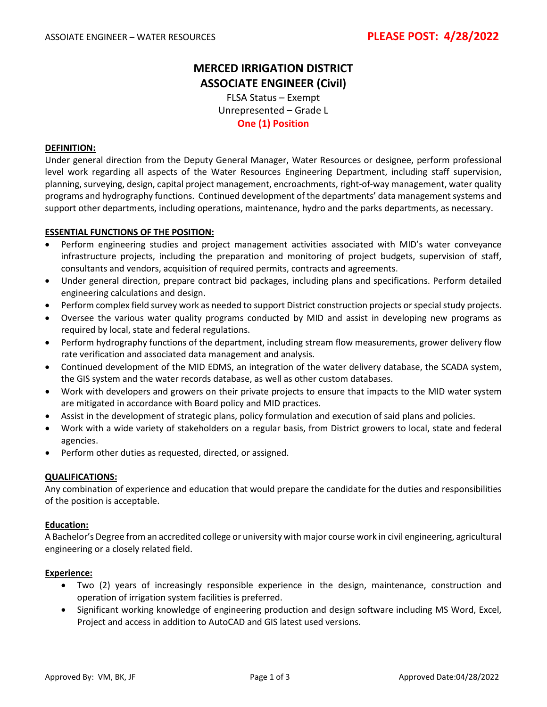## **MERCED IRRIGATION DISTRICT ASSOCIATE ENGINEER (Civil)**

FLSA Status – Exempt Unrepresented – Grade L **One (1) Position**

#### **DEFINITION:**

Under general direction from the Deputy General Manager, Water Resources or designee, perform professional level work regarding all aspects of the Water Resources Engineering Department, including staff supervision, planning, surveying, design, capital project management, encroachments, right-of-way management, water quality programs and hydrography functions. Continued development of the departments' data management systems and support other departments, including operations, maintenance, hydro and the parks departments, as necessary.

#### **ESSENTIAL FUNCTIONS OF THE POSITION:**

- Perform engineering studies and project management activities associated with MID's water conveyance infrastructure projects, including the preparation and monitoring of project budgets, supervision of staff, consultants and vendors, acquisition of required permits, contracts and agreements.
- Under general direction, prepare contract bid packages, including plans and specifications. Perform detailed engineering calculations and design.
- Perform complex field survey work as needed to support District construction projects or special study projects.
- Oversee the various water quality programs conducted by MID and assist in developing new programs as required by local, state and federal regulations.
- Perform hydrography functions of the department, including stream flow measurements, grower delivery flow rate verification and associated data management and analysis.
- Continued development of the MID EDMS, an integration of the water delivery database, the SCADA system, the GIS system and the water records database, as well as other custom databases.
- Work with developers and growers on their private projects to ensure that impacts to the MID water system are mitigated in accordance with Board policy and MID practices.
- Assist in the development of strategic plans, policy formulation and execution of said plans and policies.
- Work with a wide variety of stakeholders on a regular basis, from District growers to local, state and federal agencies.
- Perform other duties as requested, directed, or assigned.

#### **QUALIFICATIONS:**

Any combination of experience and education that would prepare the candidate for the duties and responsibilities of the position is acceptable.

#### **Education:**

A Bachelor's Degree from an accredited college or university with major course work in civil engineering, agricultural engineering or a closely related field.

#### **Experience:**

- Two (2) years of increasingly responsible experience in the design, maintenance, construction and operation of irrigation system facilities is preferred.
- Significant working knowledge of engineering production and design software including MS Word, Excel, Project and access in addition to AutoCAD and GIS latest used versions.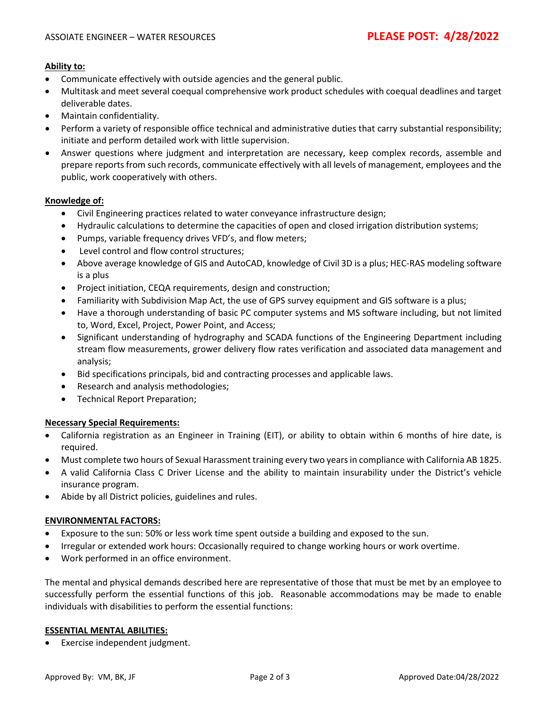## **Ability to:**

- Communicate effectively with outside agencies and the general public.
- Multitask and meet several coequal comprehensive work product schedules with coequal deadlines and target deliverable dates.
- Maintain confidentiality.
- Perform a variety of responsible office technical and administrative duties that carry substantial responsibility; initiate and perform detailed work with little supervision.
- Answer questions where judgment and interpretation are necessary, keep complex records, assemble and prepare reports from such records, communicate effectively with all levels of management, employees and the public, work cooperatively with others.

## **Knowledge of:**

- Civil Engineering practices related to water conveyance infrastructure design;
- Hydraulic calculations to determine the capacities of open and closed irrigation distribution systems;
- Pumps, variable frequency drives VFD's, and flow meters;
- Level control and flow control structures;
- Above average knowledge of GIS and AutoCAD, knowledge of Civil 3D is a plus; HEC-RAS modeling software is a plus
- Project initiation, CEQA requirements, design and construction;
- Familiarity with Subdivision Map Act, the use of GPS survey equipment and GIS software is a plus;
- Have a thorough understanding of basic PC computer systems and MS software including, but not limited to, Word, Excel, Project, Power Point, and Access;
- Significant understanding of hydrography and SCADA functions of the Engineering Department including stream flow measurements, grower delivery flow rates verification and associated data management and analysis;
- Bid specifications principals, bid and contracting processes and applicable laws.
- Research and analysis methodologies;
- Technical Report Preparation;

#### **Necessary Special Requirements:**

- California registration as an Engineer in Training (EIT), or ability to obtain within 6 months of hire date, is required.
- Must complete two hours of Sexual Harassment training every two years in compliance with California AB 1825.
- A valid California Class C Driver License and the ability to maintain insurability under the District's vehicle insurance program.
- Abide by all District policies, guidelines and rules.

#### **ENVIRONMENTAL FACTORS:**

- Exposure to the sun: 50% or less work time spent outside a building and exposed to the sun.
- Irregular or extended work hours: Occasionally required to change working hours or work overtime.
- Work performed in an office environment.

The mental and physical demands described here are representative of those that must be met by an employee to successfully perform the essential functions of this job. Reasonable accommodations may be made to enable individuals with disabilities to perform the essential functions:

#### **ESSENTIAL MENTAL ABILITIES:**

• Exercise independent judgment.